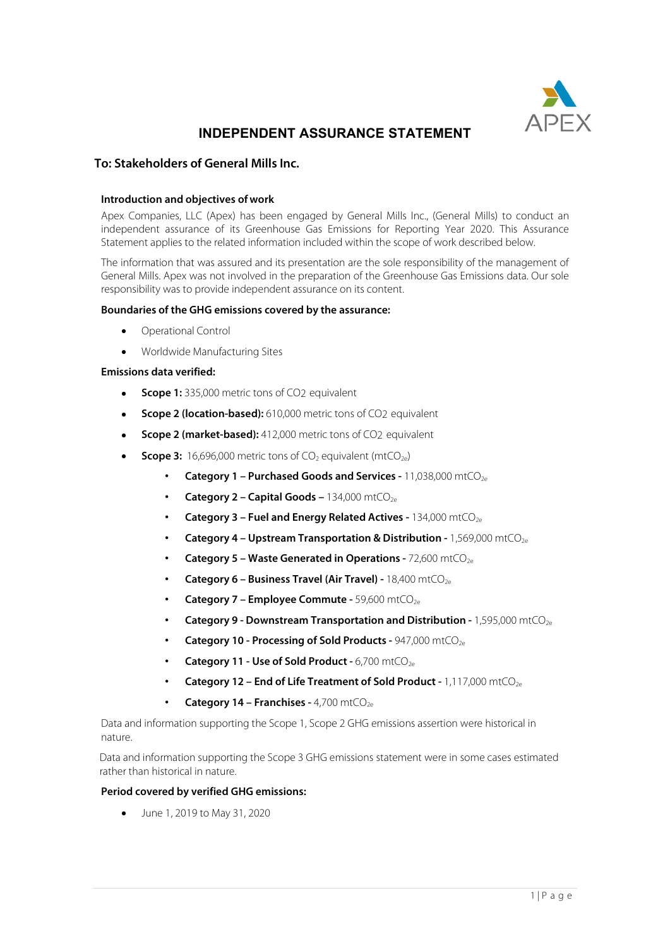

# **INDEPENDENT ASSURANCE STATEMENT**

# **To: Stakeholders of General Mills Inc.**

#### **Introduction and objectives of work**

Apex Companies, LLC (Apex) has been engaged by General Mills Inc., (General Mills) to conduct an independent assurance of its Greenhouse Gas Emissions for Reporting Year 2020. This Assurance Statement applies to the related information included within the scope of work described below.

The information that was assured and its presentation are the sole responsibility of the management of General Mills. Apex was not involved in the preparation of the Greenhouse Gas Emissions data. Our sole responsibility was to provide independent assurance on its content.

#### **Boundaries of the GHG emissions covered by the assurance:**

- Operational Control
- Worldwide Manufacturing Sites

#### **Emissions data verified:**

- **Scope 1:** 335,000 metric tons of CO2 equivalent
- **Scope 2 (location-based):** 610,000 metric tons of CO<sub>2</sub> equivalent
- **Scope 2 (market-based):** 412,000 metric tons of CO2 equivalent
- **Scope 3:** 16,696,000 metric tons of CO<sub>2</sub> equivalent (mtCO<sub>2e</sub>)
	- **Category 1 Purchased Goods and Services -** 11,038,000 mtCO<sub>2e</sub>
	- **Category 2 Capital Goods –** 134,000 mtCO<sub>2e</sub>
	- **Category 3 Fuel and Energy Related Actives -** 134,000 mtCO<sub>2e</sub>
	- **Category 4 – Upstream Transportation & Distribution -** 1,569,000 mtCO2e
	- **Category 5 Waste Generated in Operations -** 72,600 mtCO<sub>2e</sub>
	- **Category 6 Business Travel (Air Travel) -** 18,400 mtCO<sub>2e</sub>
	- **Category 7 Employee Commute -** 59,600 mtCO<sub>2e</sub>
	- **Category 9 - Downstream Transportation and Distribution -** 1,595,000 mtCO2e
	- **Category 10 Processing of Sold Products -** 947,000 mtCO<sub>2e</sub>
	- **Category 11 - Use of Sold Product -** 6,700 mtCO2e
	- **Category 12 End of Life Treatment of Sold Product -** 1,117,000 mtCO<sub>2e</sub>
	- **Category 14 – Franchises -** 4,700 mtCO2e

Data and information supporting the Scope 1, Scope 2 GHG emissions assertion were historical in nature.

Data and information supporting the Scope 3 GHG emissions statement were in some cases estimated rather than historical in nature.

#### **Period covered by verified GHG emissions:**

• June 1, 2019 to May 31, 2020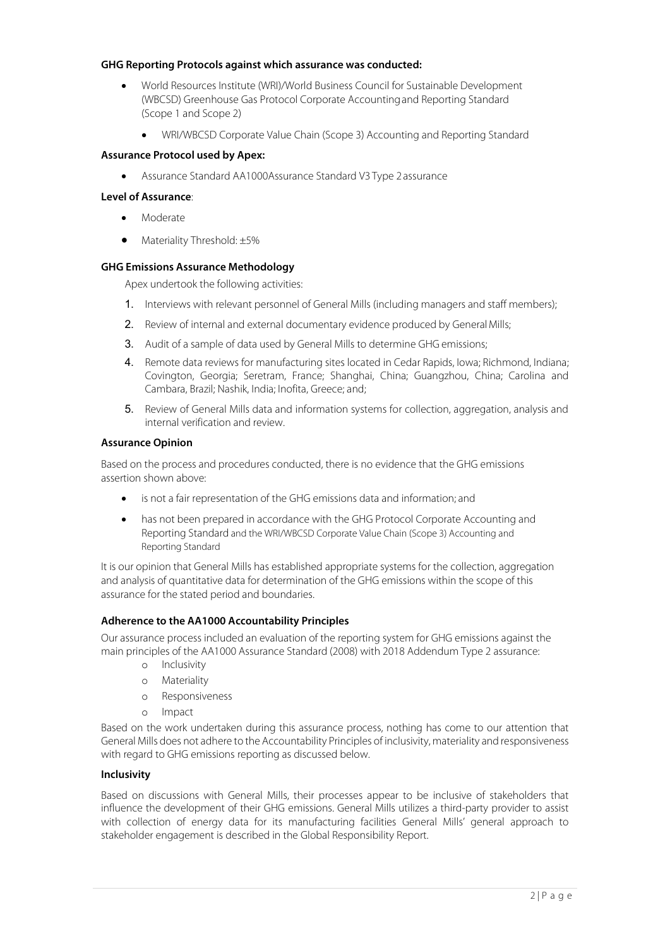## **GHG Reporting Protocols against which assurance was conducted:**

- World Resources Institute (WRI)/World Business Council for Sustainable Development (WBCSD) Greenhouse Gas Protocol Corporate Accountingand Reporting Standard (Scope 1 and Scope 2)
	- WRI/WBCSD Corporate Value Chain (Scope 3) Accounting and Reporting Standard

## **Assurance Protocol used by Apex:**

• Assurance Standard AA1000Assurance Standard V3 Type 2assurance

#### **Level of Assurance**:

- **Moderate**
- Materiality Threshold: ±5%

## **GHG Emissions Assurance Methodology**

Apex undertook the following activities:

- 1. Interviews with relevant personnel of General Mills (including managers and staff members);
- 2. Review of internal and external documentary evidence produced by General Mills;
- 3. Audit of a sample of data used by General Mills to determine GHG emissions;
- 4. Remote data reviews for manufacturing sites located in Cedar Rapids, Iowa; Richmond, Indiana; Covington, Georgia; Seretram, France; Shanghai, China; Guangzhou, China; Carolina and Cambara, Brazil; Nashik, India; Inofita, Greece; and;
- 5. Review of General Mills data and information systems for collection, aggregation, analysis and internal verification and review.

## **Assurance Opinion**

Based on the process and procedures conducted, there is no evidence that the GHG emissions assertion shown above:

- is not a fair representation of the GHG emissions data and information; and
- has not been prepared in accordance with the GHG Protocol Corporate Accounting and Reporting Standard and the WRI/WBCSD Corporate Value Chain (Scope 3) Accounting and Reporting Standard

It is our opinion that General Mills has established appropriate systems for the collection, aggregation and analysis of quantitative data for determination of the GHG emissions within the scope of this assurance for the stated period and boundaries.

## **Adherence to the AA1000 Accountability Principles**

Our assurance process included an evaluation of the reporting system for GHG emissions against the main principles of the AA1000 Assurance Standard (2008) with 2018 Addendum Type 2 assurance:

- o Inclusivity
- o Materiality
- o Responsiveness
- o Impact

Based on the work undertaken during this assurance process, nothing has come to our attention that General Mills does not adhere to the Accountability Principles of inclusivity, materiality and responsiveness with regard to GHG emissions reporting as discussed below.

## **Inclusivity**

Based on discussions with General Mills, their processes appear to be inclusive of stakeholders that influence the development of their GHG emissions. General Mills utilizes a third-party provider to assist with collection of energy data for its manufacturing facilities General Mills' general approach to stakeholder engagement is described in the Global Responsibility Report.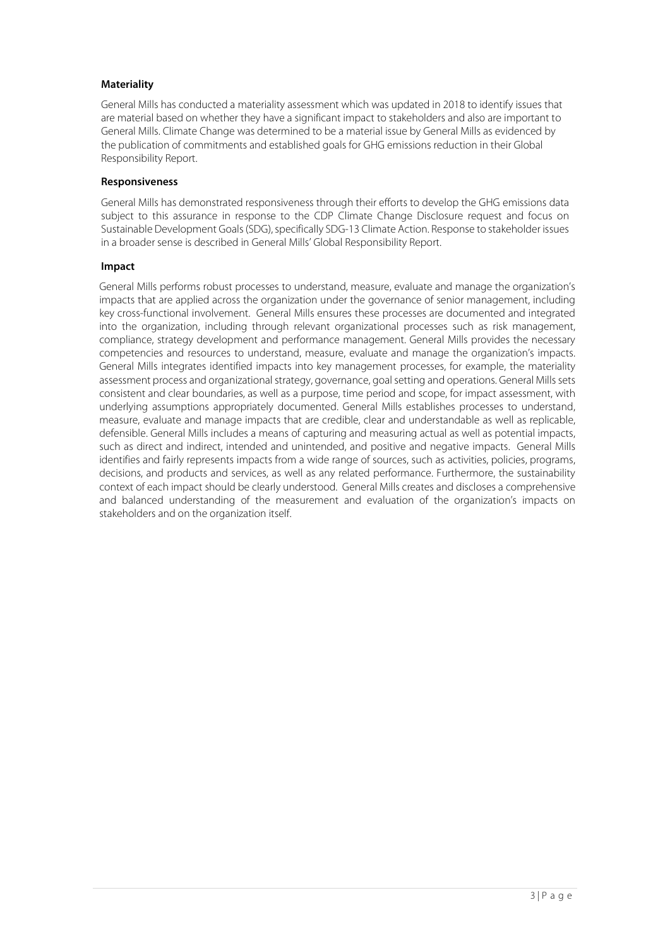# **Materiality**

General Mills has conducted a materiality assessment which was updated in 2018 to identify issues that are material based on whether they have a significant impact to stakeholders and also are important to General Mills. Climate Change was determined to be a material issue by General Mills as evidenced by the publication of commitments and established goals for GHG emissions reduction in their Global Responsibility Report.

## **Responsiveness**

General Mills has demonstrated responsiveness through their efforts to develop the GHG emissions data subject to this assurance in response to the CDP Climate Change Disclosure request and focus on Sustainable Development Goals (SDG), specifically SDG-13 Climate Action. Response to stakeholder issues in a broader sense is described in General Mills' Global Responsibility Report.

## **Impact**

General Mills performs robust processes to understand, measure, evaluate and manage the organization's impacts that are applied across the organization under the governance of senior management, including key cross-functional involvement. General Mills ensures these processes are documented and integrated into the organization, including through relevant organizational processes such as risk management, compliance, strategy development and performance management. General Mills provides the necessary competencies and resources to understand, measure, evaluate and manage the organization's impacts. General Mills integrates identified impacts into key management processes, for example, the materiality assessment process and organizational strategy, governance, goal setting and operations. General Mills sets consistent and clear boundaries, as well as a purpose, time period and scope, for impact assessment, with underlying assumptions appropriately documented. General Mills establishes processes to understand, measure, evaluate and manage impacts that are credible, clear and understandable as well as replicable, defensible. General Mills includes a means of capturing and measuring actual as well as potential impacts, such as direct and indirect, intended and unintended, and positive and negative impacts. General Mills identifies and fairly represents impacts from a wide range of sources, such as activities, policies, programs, decisions, and products and services, as well as any related performance. Furthermore, the sustainability context of each impact should be clearly understood. General Mills creates and discloses a comprehensive and balanced understanding of the measurement and evaluation of the organization's impacts on stakeholders and on the organization itself.